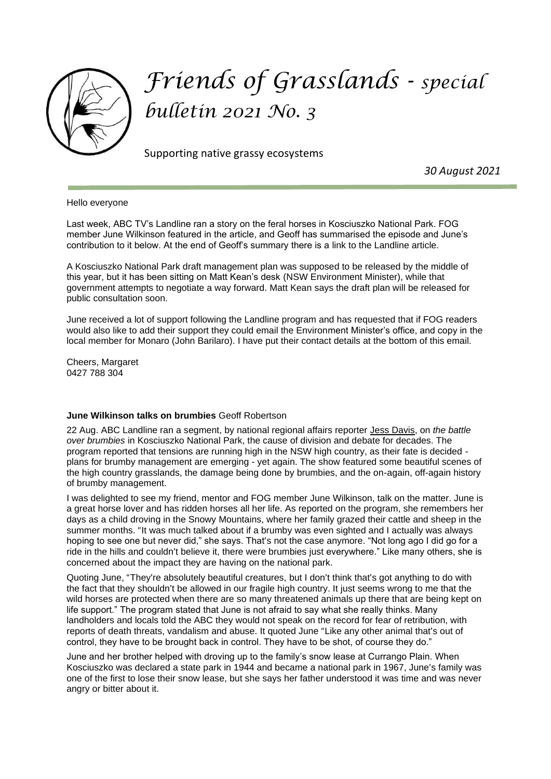

## *Friends of Grasslands - special bulletin 2021 No. 3*

Supporting native grassy ecosystems

 *30 August 2021*

Hello everyone

Last week, ABC TV's Landline ran a story on the feral horses in Kosciuszko National Park. FOG member June Wilkinson featured in the article, and Geoff has summarised the episode and June's contribution to it below. At the end of Geoff's summary there is a link to the Landline article.

A Kosciuszko National Park draft management plan was supposed to be released by the middle of this year, but it has been sitting on Matt Kean's desk (NSW Environment Minister), while that government attempts to negotiate a way forward. Matt Kean says the draft plan will be released for public consultation soon.

June received a lot of support following the Landline program and has requested that if FOG readers would also like to add their support they could email the Environment Minister's office, and copy in the local member for Monaro (John Barilaro). I have put their contact details at the bottom of this email.

Cheers, Margaret 0427 788 304

## **June Wilkinson talks on brumbies** Geoff Robertson

22 Aug. ABC Landline ran a segment, by national regional affairs reporter [Jess Davis,](https://www.abc.net.au/news/jess-davis/8358970) on *the battle over brumbies* in Kosciuszko National Park, the cause of division and debate for decades. The program reported that tensions are running high in the NSW high country, as their fate is decided plans for brumby management are emerging - yet again. The show featured some beautiful scenes of the high country grasslands, the damage being done by brumbies, and the on-again, off-again history of brumby management.

I was delighted to see my friend, mentor and FOG member June Wilkinson, talk on the matter. June is a great horse lover and has ridden horses all her life. As reported on the program, she remembers her days as a child droving in the Snowy Mountains, where her family grazed their cattle and sheep in the summer months. "It was much talked about if a brumby was even sighted and I actually was always hoping to see one but never did," she says. That's not the case anymore. "Not long ago I did go for a ride in the hills and couldn't believe it, there were brumbies just everywhere." Like many others, she is concerned about the impact they are having on the national park.

Quoting June, "They're absolutely beautiful creatures, but I don't think that's got anything to do with the fact that they shouldn't be allowed in our fragile high country. It just seems wrong to me that the wild horses are protected when there are so many threatened animals up there that are being kept on life support." The program stated that June is not afraid to say what she really thinks. Many landholders and locals told the ABC they would not speak on the record for fear of retribution, with reports of death threats, vandalism and abuse. It quoted June "Like any other animal that's out of control, they have to be brought back in control. They have to be shot, of course they do."

June and her brother helped with droving up to the family's snow lease at Currango Plain. When Kosciuszko was declared a state park in 1944 and became a national park in 1967, June's family was one of the first to lose their snow lease, but she says her father understood it was time and was never angry or bitter about it.